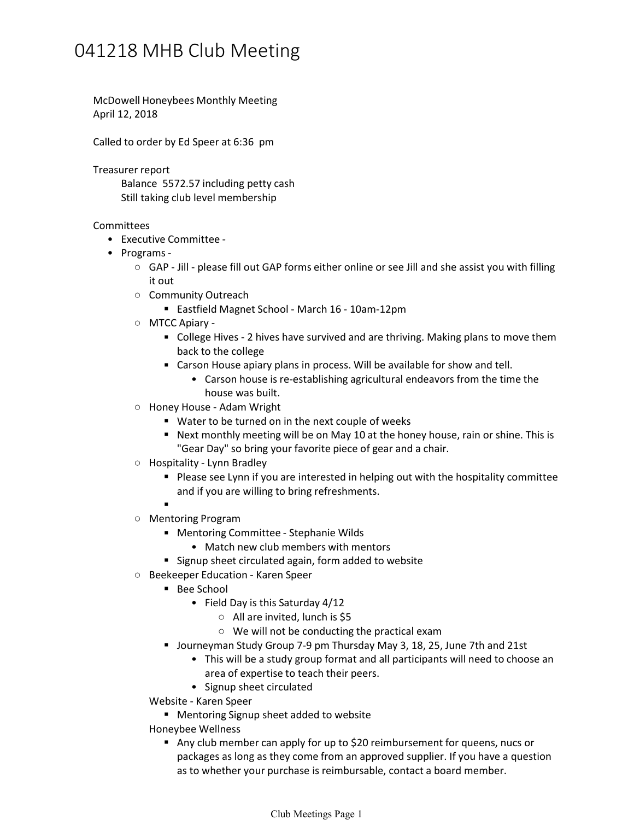## 041218 MHB Club Meeting

McDowell Honeybees Monthly Meeting April 12, 2018

Called to order by Ed Speer at 6:36 pm

Treasurer report

Balance 5572.57 including petty cash Still taking club level membership

- Executive Committee Committees<br>• Executive Committee -<br>• Programs -
	- - GAP Jill please fill out GAP forms either online or see Jill and she assist you with filling it out
		- Community Outreach
			- Eastfield Magnet School March 16 10am-12pm
		- MTCC Apiary -
			- College Hives 2 hives have survived and are thriving. Making plans to move them back to the college
			-
			- Carson house is re-establishing agricultural endeavors from the time the • Carson House apiary plans in process. Will be available for show and tell.<br>• Carson house is re-establishing agricultural endeavors from the time the<br>house was built.
		- Honey House Adam Wright
			- Water to be turned on in the next couple of weeks
			- Next monthly meeting will be on May 10 at the honey house, rain or shine. This is Honey House - Adam Wright<br>
			"Water to be turned on in the next couple of weeks<br>
			"Next monthly meeting will be on May 10 at the honey hous<br>
			"Gear Day" so bring your favorite piece of gear and a chair.
		-
		- Please see Lynn if you are interested in helping out with the hospitality committee and if you are willing to bring refreshments. ○ Hospitality - Lynn Bradley<br>■ Please see Lynn if you are interested in helping out<br>and if you are willing to bring refreshments.
			-
		- Mentoring Program
			-
			- Mentoring Committee Stephanie Wilds<br>• Match new club members with mentors
			- **Signup sheet circulated again, form added to website**
		- Beekeeper Education Karen Speer
			- Bee School
				- Field Day is this Saturday 4/12
					- All are invited, lunch is \$5
					- We will not be conducting the practical exam
			- Journeyman Study Group 7-9 pm Thursday May 3, 18, 25, June 7th and 21st
				- This will be a study group format and all participants will need to choose an area of expertise to teach their peers. •
				- Signup sheet circulated
			- Website Karen Speer
			- **Mentoring Signup sheet added to website**
			-
			- Any club member can apply for up to \$20 reimbursement for queens, nucs or packages as long as they come from an approved supplier. If you have a question As to wellness<br>Any club member can apply for up to \$20 reimbursement for queens, no<br>packages as long as they come from an approved supplier. If you have a<br>as to whether your purchase is reimbursable, contact a board member